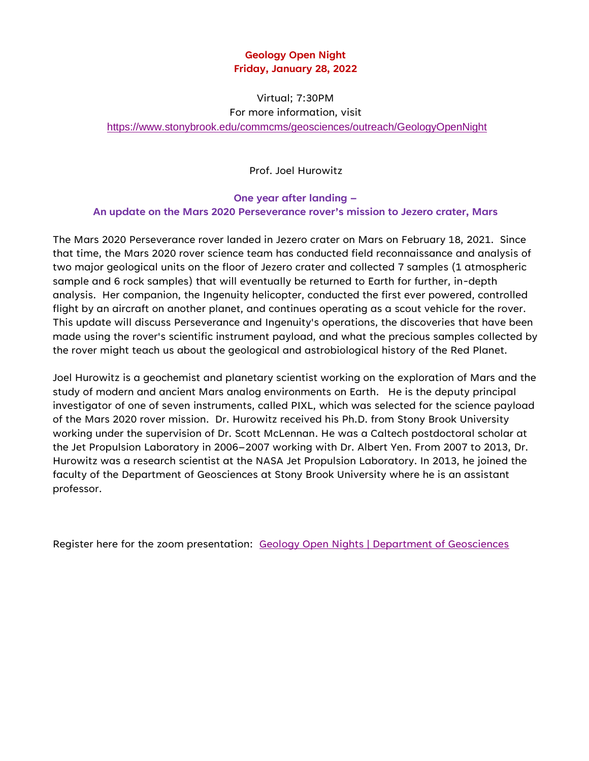## **Geology Open Night Friday, January 28, 2022**

Virtual; 7:30PM

For more information, visit

<https://www.stonybrook.edu/commcms/geosciences/outreach/GeologyOpenNight>

Prof. Joel Hurowitz

**One year after landing – An update on the Mars 2020 Perseverance rover's mission to Jezero crater, Mars**

The Mars 2020 Perseverance rover landed in Jezero crater on Mars on February 18, 2021. Since that time, the Mars 2020 rover science team has conducted field reconnaissance and analysis of two major geological units on the floor of Jezero crater and collected 7 samples (1 atmospheric sample and 6 rock samples) that will eventually be returned to Earth for further, in-depth analysis. Her companion, the Ingenuity helicopter, conducted the first ever powered, controlled flight by an aircraft on another planet, and continues operating as a scout vehicle for the rover. This update will discuss Perseverance and Ingenuity's operations, the discoveries that have been made using the rover's scientific instrument payload, and what the precious samples collected by the rover might teach us about the geological and astrobiological history of the Red Planet.

Joel Hurowitz is a geochemist and planetary scientist working on the exploration of Mars and the study of modern and ancient Mars analog environments on Earth. He is the deputy principal investigator of one of seven instruments, called PIXL, which was selected for the science payload of the Mars 2020 rover mission. Dr. Hurowitz received his Ph.D. from Stony Brook University working under the supervision of Dr. Scott McLennan. He was a Caltech postdoctoral scholar at the Jet Propulsion Laboratory in 2006–2007 working with Dr. Albert Yen. From 2007 to 2013, Dr. Hurowitz was a research scientist at the NASA Jet Propulsion Laboratory. In 2013, he joined the faculty of the Department of Geosciences at Stony Brook University where he is an assistant professor.

Register here for the zoom presentation: [Geology Open Nights | Department of Geosciences](https://www.stonybrook.edu/commcms/geosciences/outreach/GeologyOpenNight)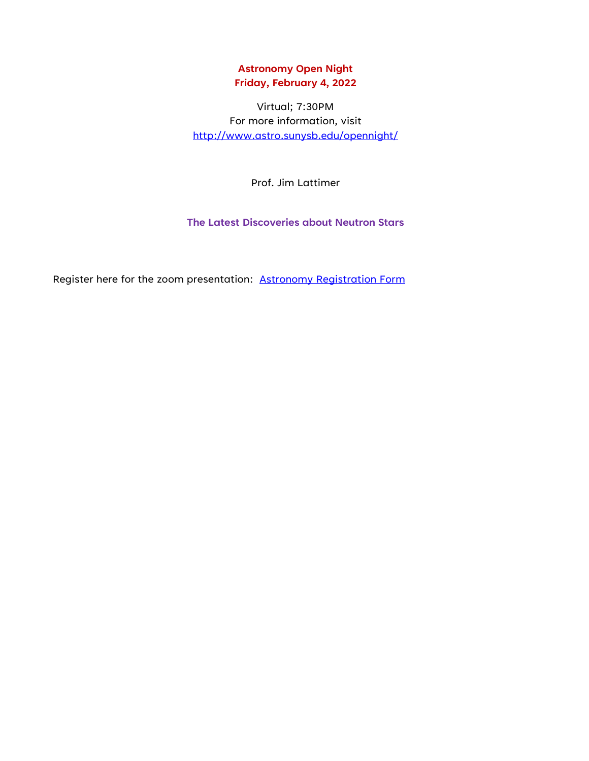#### **Astronomy Open Night Friday, February 4, 2022**

Virtual; 7:30PM For more information, visit <http://www.astro.sunysb.edu/opennight/>

Prof. Jim Lattimer

**The Latest Discoveries about Neutron Stars**

Register here for the zoom presentation: [Astronomy Registration Form](https://docs.google.com/forms/d/e/1FAIpQLSfYIufW8wV9NZJQELSHec9008anWu4qdcVxVj94zE5bhV2MVQ/viewform?fbzx=1339757450909710837)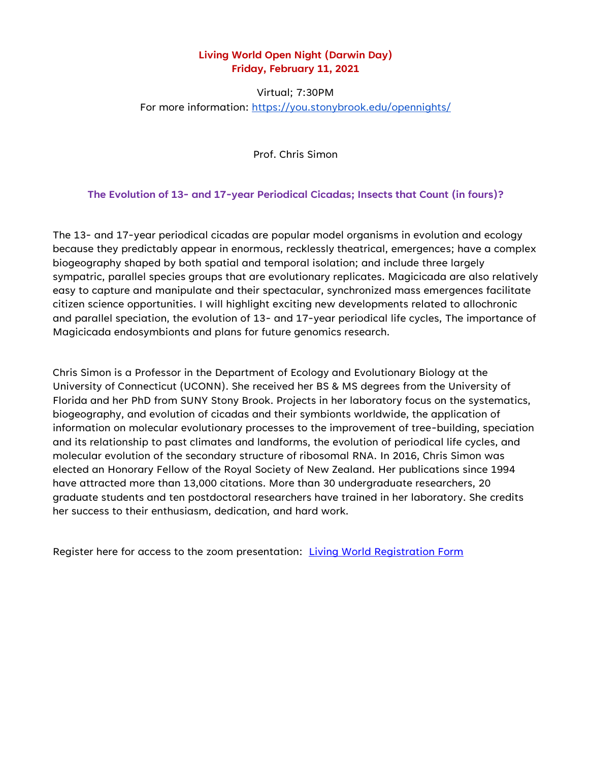#### **Living World Open Night (Darwin Day) Friday, February 11, 2021**

### Virtual; 7:30PM For more information:<https://you.stonybrook.edu/opennights/>

Prof. Chris Simon

**The Evolution of 13- and 17-year Periodical Cicadas; Insects that Count (in fours)?**

The 13- and 17-year periodical cicadas are popular model organisms in evolution and ecology because they predictably appear in enormous, recklessly theatrical, emergences; have a complex biogeography shaped by both spatial and temporal isolation; and include three largely sympatric, parallel species groups that are evolutionary replicates. Magicicada are also relatively easy to capture and manipulate and their spectacular, synchronized mass emergences facilitate citizen science opportunities. I will highlight exciting new developments related to allochronic and parallel speciation, the evolution of 13- and 17-year periodical life cycles, The importance of Magicicada endosymbionts and plans for future genomics research.

Chris Simon is a Professor in the Department of Ecology and Evolutionary Biology at the University of Connecticut (UCONN). She received her BS & MS degrees from the University of Florida and her PhD from SUNY Stony Brook. Projects in her laboratory focus on the systematics, biogeography, and evolution of cicadas and their symbionts worldwide, the application of information on molecular evolutionary processes to the improvement of tree-building, speciation and its relationship to past climates and landforms, the evolution of periodical life cycles, and molecular evolution of the secondary structure of ribosomal RNA. In 2016, Chris Simon was elected an Honorary Fellow of the Royal Society of New Zealand. Her publications since 1994 have attracted more than 13,000 citations. More than 30 undergraduate researchers, 20 graduate students and ten postdoctoral researchers have trained in her laboratory. She credits her success to their enthusiasm, dedication, and hard work.

Register here for access to the zoom presentation: [Living World Registration Form](https://docs.google.com/forms/d/e/1FAIpQLSfCuM6Xk3N9K2NPunPj9uwE5n5zS5lEVg6O9Hd5-s6Hn5N5yQ/viewform)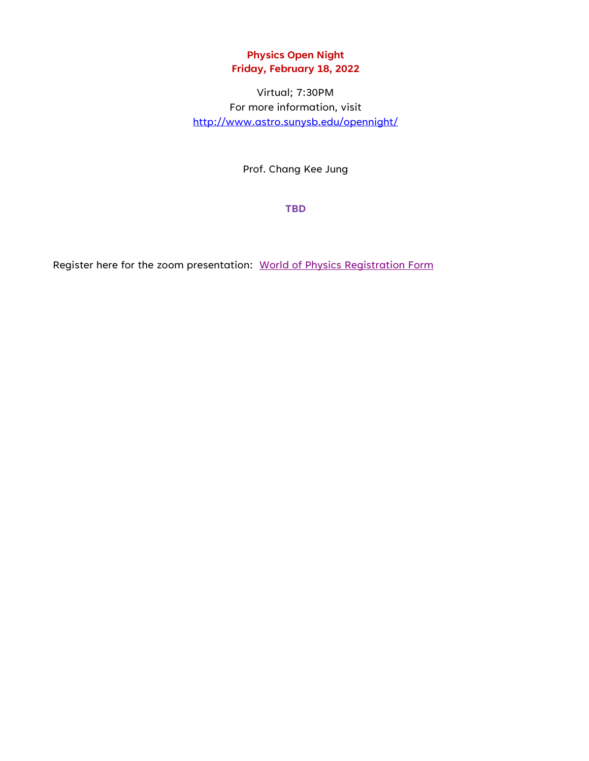# **Physics Open Night Friday, February 18, 2022**

Virtual; 7:30PM For more information, visit <http://www.astro.sunysb.edu/opennight/>

Prof. Chang Kee Jung

**TBD**

Register here for the zoom presentation: World of Physics [Registration Form](https://docs.google.com/forms/d/1GFFCBZ8mROLPTkVLmfyZCNL11AL6JSMQ7IocQWWwYsg/viewform?edit_requested=true)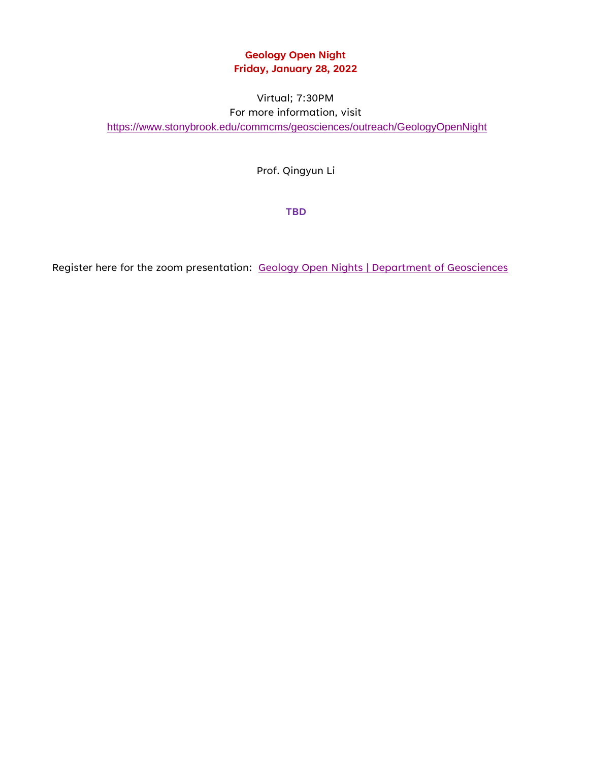# **Geology Open Night Friday, January 28, 2022**

## Virtual; 7:30PM For more information, visit <https://www.stonybrook.edu/commcms/geosciences/outreach/GeologyOpenNight>

Prof. Qingyun Li

**TBD**

Register here for the zoom presentation: [Geology Open Nights | Department of Geosciences](https://www.stonybrook.edu/commcms/geosciences/outreach/GeologyOpenNight)